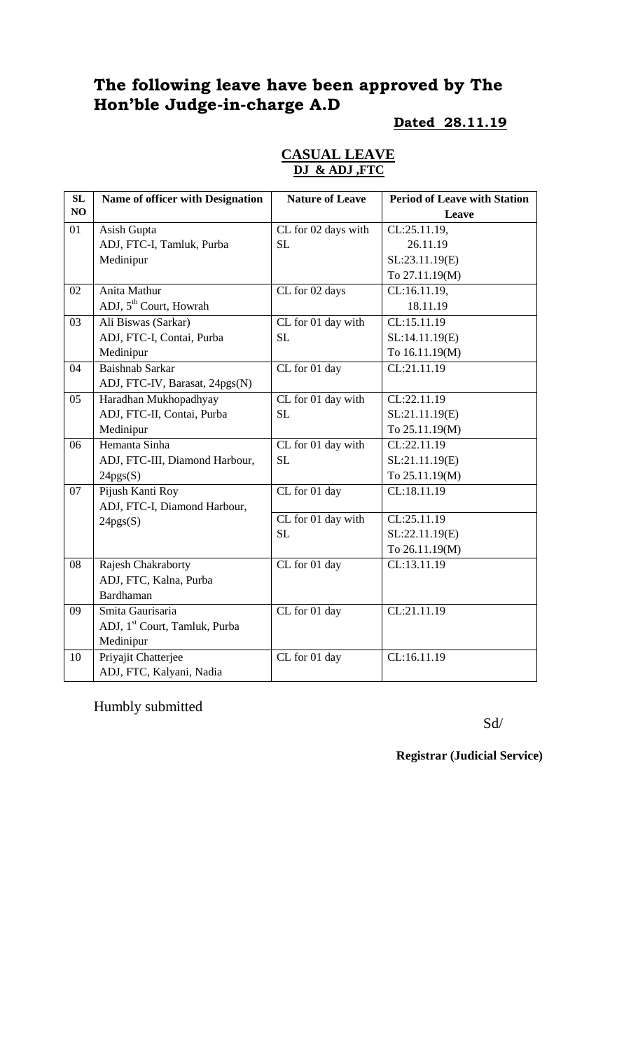# **The following leave have been approved by The Hon'ble Judge-in-charge A.D**

#### **Dated 28.11.19**

|  | <b>CASUAL LEAVE</b> |  |
|--|---------------------|--|
|  | DJ & ADJ ,FTC       |  |

| SL | Name of officer with Designation          | <b>Nature of Leave</b> | <b>Period of Leave with Station</b> |
|----|-------------------------------------------|------------------------|-------------------------------------|
| NO |                                           |                        | Leave                               |
| 01 | Asish Gupta                               | CL for 02 days with    | CL:25.11.19,                        |
|    | ADJ, FTC-I, Tamluk, Purba                 | <b>SL</b>              | 26.11.19                            |
|    | Medinipur                                 |                        | SL:23.11.19(E)                      |
|    |                                           |                        | To 27.11.19(M)                      |
| 02 | Anita Mathur                              | CL for 02 days         | CL:16.11.19,                        |
|    | ADJ, 5 <sup>th</sup> Court, Howrah        |                        | 18.11.19                            |
| 03 | Ali Biswas (Sarkar)                       | CL for 01 day with     | CL:15.11.19                         |
|    | ADJ, FTC-I, Contai, Purba                 | <b>SL</b>              | SL:14.11.19(E)                      |
|    | Medinipur                                 |                        | To 16.11.19(M)                      |
| 04 | Baishnab Sarkar                           | CL for 01 day          | CL:21.11.19                         |
|    | ADJ, FTC-IV, Barasat, 24pgs(N)            |                        |                                     |
| 05 | Haradhan Mukhopadhyay                     | CL for 01 day with     | CL:22.11.19                         |
|    | ADJ, FTC-II, Contai, Purba                | <b>SL</b>              | SL:21.11.19(E)                      |
|    | Medinipur                                 |                        | To 25.11.19(M)                      |
| 06 | Hemanta Sinha                             | CL for 01 day with     | CL:22.11.19                         |
|    | ADJ, FTC-III, Diamond Harbour,            | SL                     | SL:21.11.19(E)                      |
|    | 24pgs(S)                                  |                        | To 25.11.19(M)                      |
| 07 | Pijush Kanti Roy                          | CL for 01 day          | CL:18.11.19                         |
|    | ADJ, FTC-I, Diamond Harbour,              |                        |                                     |
|    | 24pgs(S)                                  | CL for 01 day with     | CL:25.11.19                         |
|    |                                           | <b>SL</b>              | SL:22.11.19(E)                      |
|    |                                           |                        | To 26.11.19(M)                      |
| 08 | Rajesh Chakraborty                        | CL for 01 day          | CL:13.11.19                         |
|    | ADJ, FTC, Kalna, Purba                    |                        |                                     |
|    | Bardhaman                                 |                        |                                     |
| 09 | Smita Gaurisaria                          | CL for 01 day          | CL:21.11.19                         |
|    | ADJ, 1 <sup>st</sup> Court, Tamluk, Purba |                        |                                     |
|    | Medinipur                                 |                        |                                     |
| 10 | Priyajit Chatterjee                       | CL for 01 day          | CL:16.11.19                         |
|    | ADJ, FTC, Kalyani, Nadia                  |                        |                                     |

Humbly submitted

Sd/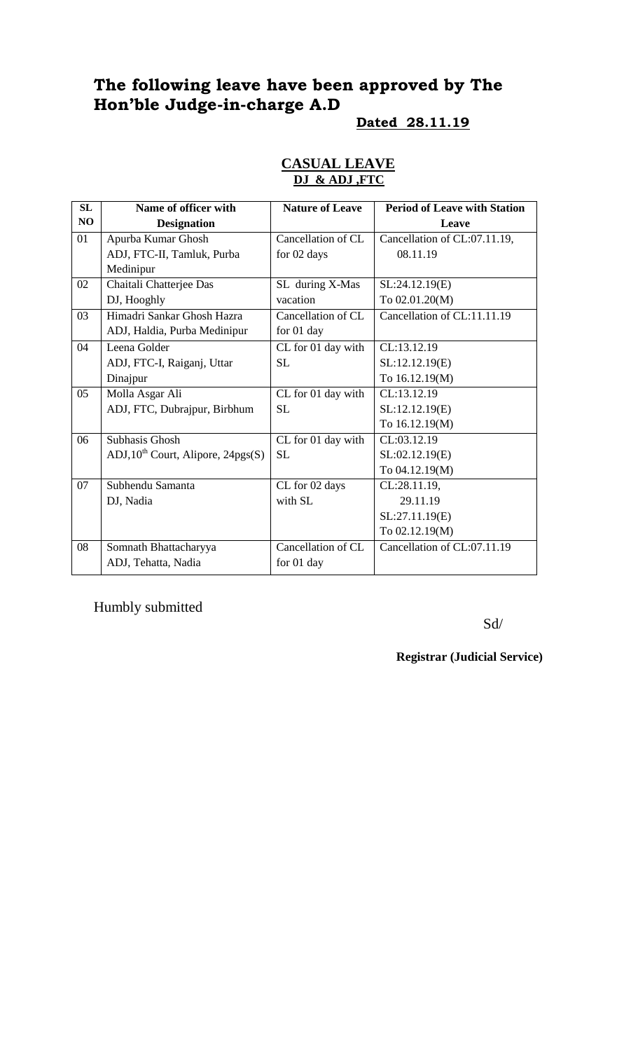# **The following leave have been approved by The Hon'ble Judge-in-charge A.D**

#### **Dated 28.11.19**

#### **CASUAL LEAVE DJ & ADJ ,FTC**

| SL | Name of officer with                    | <b>Nature of Leave</b> | <b>Period of Leave with Station</b> |
|----|-----------------------------------------|------------------------|-------------------------------------|
| NO | <b>Designation</b>                      |                        | Leave                               |
| 01 | Apurba Kumar Ghosh                      | Cancellation of CL     | Cancellation of CL:07.11.19,        |
|    | ADJ, FTC-II, Tamluk, Purba              | for 02 days            | 08.11.19                            |
|    | Medinipur                               |                        |                                     |
| 02 | Chaitali Chatterjee Das                 | SL during X-Mas        | SL:24.12.19(E)                      |
|    | DJ, Hooghly                             | vacation               | To 02.01.20(M)                      |
| 03 | Himadri Sankar Ghosh Hazra              | Cancellation of CL     | Cancellation of CL:11.11.19         |
|    | ADJ, Haldia, Purba Medinipur            | for 01 day             |                                     |
| 04 | Leena Golder                            | CL for 01 day with     | CL:13.12.19                         |
|    | ADJ, FTC-I, Raiganj, Uttar              | <b>SL</b>              | SL:12.12.19(E)                      |
|    | Dinajpur                                |                        | To 16.12.19(M)                      |
| 05 | Molla Asgar Ali                         | CL for 01 day with     | CL:13.12.19                         |
|    | ADJ, FTC, Dubrajpur, Birbhum            | <b>SL</b>              | SL:12.12.19(E)                      |
|    |                                         |                        | To 16.12.19(M)                      |
| 06 | <b>Subhasis Ghosh</b>                   | CL for 01 day with     | CL:03.12.19                         |
|    | $ADJ$ , $10th$ Court, Alipore, 24pgs(S) | <b>SL</b>              | SL:02.12.19(E)                      |
|    |                                         |                        | To 04.12.19(M)                      |
| 07 | Subhendu Samanta                        | CL for 02 days         | CL:28.11.19,                        |
|    | DJ, Nadia                               | with SL                | 29.11.19                            |
|    |                                         |                        | SL:27.11.19(E)                      |
|    |                                         |                        | To 02.12.19(M)                      |
| 08 | Somnath Bhattacharyya                   | Cancellation of CL     | Cancellation of CL:07.11.19         |
|    | ADJ, Tehatta, Nadia                     | for 01 day             |                                     |

Humbly submitted

Sd/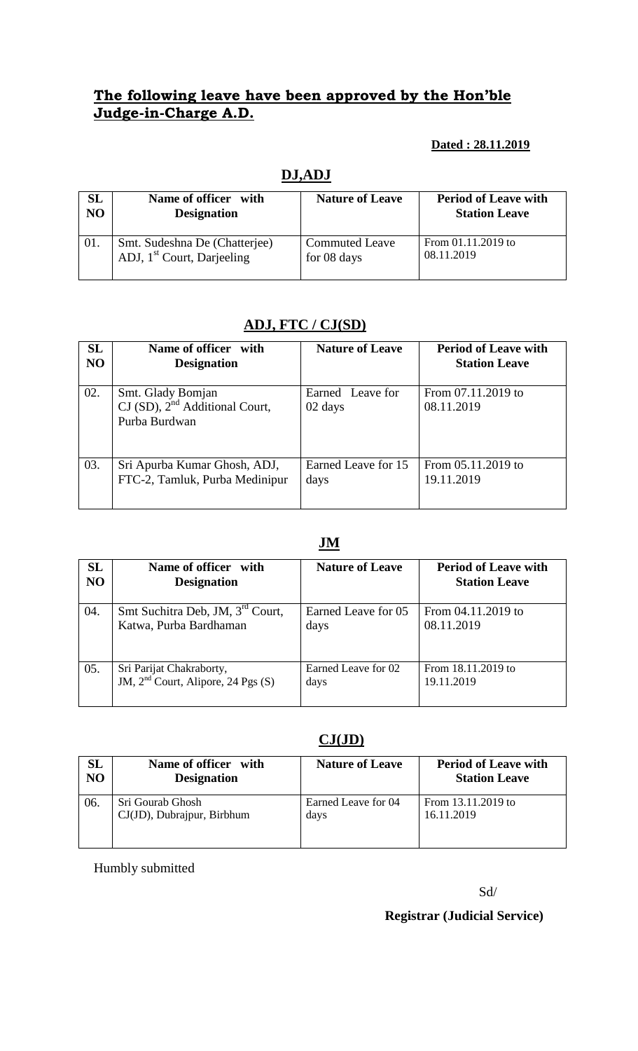## **The following leave have been approved by the Hon'ble Judge-in-Charge A.D.**

### **Dated : 28.11.2019**

|                | <b>DJ,ADJ</b>                          |                        |                             |  |  |
|----------------|----------------------------------------|------------------------|-----------------------------|--|--|
| SL             | Name of officer with                   | <b>Nature of Leave</b> | <b>Period of Leave with</b> |  |  |
| N <sub>O</sub> | <b>Designation</b>                     |                        | <b>Station Leave</b>        |  |  |
| 01.            | Smt. Sudeshna De (Chatterjee)          | <b>Commuted Leave</b>  | From 01.11.2019 to          |  |  |
|                | ADJ, 1 <sup>st</sup> Court, Darjeeling | for 08 days            | 08.11.2019                  |  |  |

# **ADJ, FTC / CJ(SD)**

| <b>SL</b>      | Name of officer with                                                      | <b>Nature of Leave</b>      | <b>Period of Leave with</b>      |
|----------------|---------------------------------------------------------------------------|-----------------------------|----------------------------------|
| N <sub>O</sub> | <b>Designation</b>                                                        |                             | <b>Station Leave</b>             |
| 02.            | Smt. Glady Bomjan<br>$CI(SD)$ , $2nd Additional Court$ ,<br>Purba Burdwan | Earned Leave for<br>02 days | From 07.11.2019 to<br>08.11.2019 |
| 03.            | Sri Apurba Kumar Ghosh, ADJ,                                              | Earned Leave for 15         | From 05.11.2019 to               |
|                | FTC-2, Tamluk, Purba Medinipur                                            | days                        | 19.11.2019                       |

## **JM**

| <b>SL</b>      | Name of officer with                           | <b>Nature of Leave</b> | <b>Period of Leave with</b> |
|----------------|------------------------------------------------|------------------------|-----------------------------|
| N <sub>O</sub> | <b>Designation</b>                             |                        | <b>Station Leave</b>        |
| 04.            | Smt Suchitra Deb, JM, 3 <sup>rd</sup> Court,   | Earned Leave for 05    | From 04.11.2019 to          |
|                | Katwa, Purba Bardhaman                         | days                   | 08.11.2019                  |
| 05.            | Sri Parijat Chakraborty,                       | Earned Leave for 02    | From 18.11.2019 to          |
|                | JM, 2 <sup>nd</sup> Court, Alipore, 24 Pgs (S) | days                   | 19.11.2019                  |

## **CJ(JD)**

| <b>SL</b>      | Name of officer with       | <b>Nature of Leave</b> | <b>Period of Leave with</b> |
|----------------|----------------------------|------------------------|-----------------------------|
| N <sub>O</sub> | <b>Designation</b>         |                        | <b>Station Leave</b>        |
| 06.            | Sri Gourab Ghosh           | Earned Leave for 04    | From 13.11.2019 to          |
|                | CJ(JD), Dubrajpur, Birbhum | days                   | 16.11.2019                  |

Humbly submitted

#### Sd/